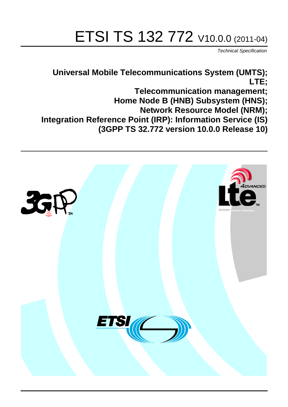# ETSI TS 132 772 V10.0.0 (2011-04)

*Technical Specification*

**Universal Mobile Telecommunications System (UMTS); LTE; Telecommunication management; Home Node B (HNB) Subsystem (HNS); Network Resource Model (NRM); Integration Reference Point (IRP): Information Service (IS) (3GPP TS 32.772 version 10.0.0 Release 10)**

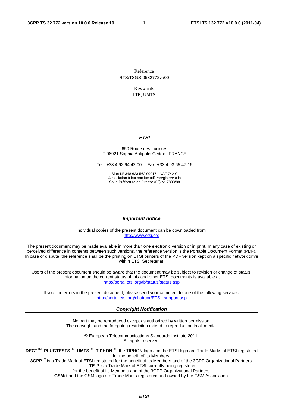Reference RTS/TSGS-0532772va00

> Keywords LTE, UMTS

#### *ETSI*

#### 650 Route des Lucioles F-06921 Sophia Antipolis Cedex - FRANCE

Tel.: +33 4 92 94 42 00 Fax: +33 4 93 65 47 16

Siret N° 348 623 562 00017 - NAF 742 C Association à but non lucratif enregistrée à la Sous-Préfecture de Grasse (06) N° 7803/88

#### *Important notice*

Individual copies of the present document can be downloaded from: [http://www.etsi.org](http://www.etsi.org/)

The present document may be made available in more than one electronic version or in print. In any case of existing or perceived difference in contents between such versions, the reference version is the Portable Document Format (PDF). In case of dispute, the reference shall be the printing on ETSI printers of the PDF version kept on a specific network drive within ETSI Secretariat.

Users of the present document should be aware that the document may be subject to revision or change of status. Information on the current status of this and other ETSI documents is available at <http://portal.etsi.org/tb/status/status.asp>

If you find errors in the present document, please send your comment to one of the following services: [http://portal.etsi.org/chaircor/ETSI\\_support.asp](http://portal.etsi.org/chaircor/ETSI_support.asp)

#### *Copyright Notification*

No part may be reproduced except as authorized by written permission. The copyright and the foregoing restriction extend to reproduction in all media.

> © European Telecommunications Standards Institute 2011. All rights reserved.

**DECT**TM, **PLUGTESTS**TM, **UMTS**TM, **TIPHON**TM, the TIPHON logo and the ETSI logo are Trade Marks of ETSI registered for the benefit of its Members.

**3GPP**TM is a Trade Mark of ETSI registered for the benefit of its Members and of the 3GPP Organizational Partners. **LTE**™ is a Trade Mark of ETSI currently being registered

for the benefit of its Members and of the 3GPP Organizational Partners.

**GSM**® and the GSM logo are Trade Marks registered and owned by the GSM Association.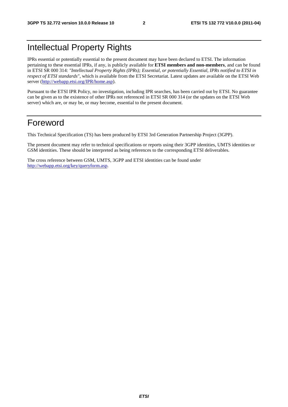# Intellectual Property Rights

IPRs essential or potentially essential to the present document may have been declared to ETSI. The information pertaining to these essential IPRs, if any, is publicly available for **ETSI members and non-members**, and can be found in ETSI SR 000 314: *"Intellectual Property Rights (IPRs); Essential, or potentially Essential, IPRs notified to ETSI in respect of ETSI standards"*, which is available from the ETSI Secretariat. Latest updates are available on the ETSI Web server [\(http://webapp.etsi.org/IPR/home.asp\)](http://webapp.etsi.org/IPR/home.asp).

Pursuant to the ETSI IPR Policy, no investigation, including IPR searches, has been carried out by ETSI. No guarantee can be given as to the existence of other IPRs not referenced in ETSI SR 000 314 (or the updates on the ETSI Web server) which are, or may be, or may become, essential to the present document.

# Foreword

This Technical Specification (TS) has been produced by ETSI 3rd Generation Partnership Project (3GPP).

The present document may refer to technical specifications or reports using their 3GPP identities, UMTS identities or GSM identities. These should be interpreted as being references to the corresponding ETSI deliverables.

The cross reference between GSM, UMTS, 3GPP and ETSI identities can be found under [http://webapp.etsi.org/key/queryform.asp.](http://webapp.etsi.org/key/queryform.asp)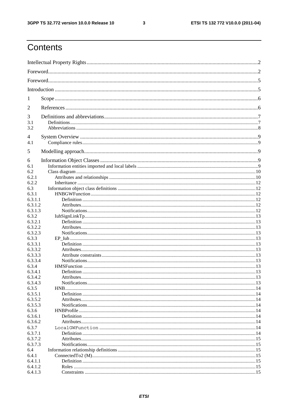$\mathbf{3}$ 

# Contents

| 1                  |  |
|--------------------|--|
| 2                  |  |
| 3                  |  |
| 3.1                |  |
| 3.2                |  |
| 4<br>4.1           |  |
|                    |  |
| 5                  |  |
| 6                  |  |
| 6.1                |  |
| 6.2                |  |
| 6.2.1<br>6.2.2     |  |
| 6.3                |  |
| 6.3.1              |  |
| 6.3.1.1            |  |
| 6.3.1.2            |  |
| 6.3.1.3            |  |
| 6.3.2              |  |
| 6.3.2.1            |  |
| 6.3.2.2            |  |
| 6.3.2.3            |  |
| 6.3.3              |  |
| 6.3.3.1            |  |
| 6.3.3.2            |  |
| 6.3.3.3            |  |
| 6.3.3.4            |  |
| 6.3.4              |  |
| 6.3.4.1            |  |
| 6.3.4.2            |  |
| 6.3.4.3            |  |
| 6.3.5              |  |
| 6.3.5.1            |  |
| 6.3.5.2            |  |
| 6.3.5.3            |  |
| 6.3.6              |  |
| 6.3.6.1            |  |
| 6.3.6.2            |  |
| 6.3.7              |  |
| 6.3.7.1            |  |
| 6.3.7.2<br>6.3.7.3 |  |
| 6.4                |  |
| 6.4.1              |  |
| 6.4.1.1            |  |
| 6.4.1.2            |  |
| 6.4.1.3            |  |
|                    |  |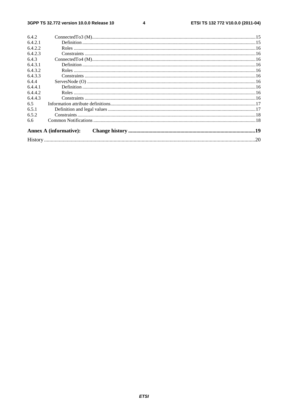#### $\overline{\mathbf{4}}$

| 6.4.2   |                               |  |
|---------|-------------------------------|--|
| 6.4.2.1 |                               |  |
| 6.4.2.2 |                               |  |
| 6.4.2.3 |                               |  |
| 6.4.3   |                               |  |
| 6.4.3.1 |                               |  |
| 6.4.3.2 |                               |  |
| 6.4.3.3 |                               |  |
| 6.4.4   |                               |  |
| 6.4.4.1 |                               |  |
| 6.4.4.2 |                               |  |
| 6.4.4.3 |                               |  |
| 6.5     |                               |  |
| 6.5.1   |                               |  |
| 6.5.2   |                               |  |
| 6.6     |                               |  |
|         | <b>Annex A (informative):</b> |  |
|         |                               |  |
|         |                               |  |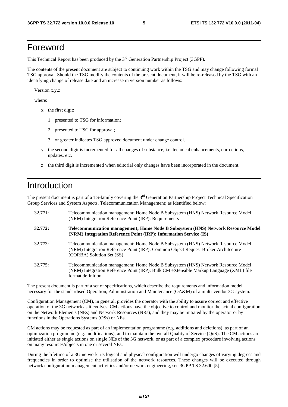# Foreword

This Technical Report has been produced by the  $3<sup>rd</sup>$  Generation Partnership Project (3GPP).

The contents of the present document are subject to continuing work within the TSG and may change following formal TSG approval. Should the TSG modify the contents of the present document, it will be re-released by the TSG with an identifying change of release date and an increase in version number as follows:

Version x.y.z

where:

- x the first digit:
	- 1 presented to TSG for information;
	- 2 presented to TSG for approval;
	- 3 or greater indicates TSG approved document under change control.
- y the second digit is incremented for all changes of substance, i.e. technical enhancements, corrections, updates, etc.
- z the third digit is incremented when editorial only changes have been incorporated in the document.

### Introduction

The present document is part of a TS-family covering the  $3<sup>rd</sup>$  Generation Partnership Project Technical Specification Group Services and System Aspects, Telecommunication Management; as identified below:

| 32.771: | Telecommunication management; Home Node B Subsystem (HNS) Network Resource Model<br>(NRM) Integration Reference Point (IRP): Requirements                                                           |
|---------|-----------------------------------------------------------------------------------------------------------------------------------------------------------------------------------------------------|
| 32.772: | Telecommunication management; Home Node B Subsystem (HNS) Network Resource Model<br>(NRM) Integration Reference Point (IRP): Information Service (IS)                                               |
| 32.773: | Telecommunication management; Home Node B Subsystem (HNS) Network Resource Model<br>(NRM) Integration Reference Point (IRP): Common Object Request Broker Architecture<br>(CORBA) Solution Set (SS) |
| 32.775: | Telecommunication management; Home Node B Subsystem (HNS) Network Resource Model<br>(NRM) Integration Reference Point (IRP): Bulk CM eXtensible Markup Language (XML) file<br>format definition     |

The present document is part of a set of specifications, which describe the requirements and information model necessary for the standardised Operation, Administration and Maintenance (OA&M) of a multi-vendor 3G-system.

Configuration Management (CM), in general, provides the operator with the ability to assure correct and effective operation of the 3G network as it evolves. CM actions have the objective to control and monitor the actual configuration on the Network Elements (NEs) and Network Resources (NRs), and they may be initiated by the operator or by functions in the Operations Systems (OSs) or NEs.

CM actions may be requested as part of an implementation programme (e.g. additions and deletions), as part of an optimization programme (e.g. modifications), and to maintain the overall Quality of Service (QoS). The CM actions are initiated either as single actions on single NEs of the 3G network, or as part of a complex procedure involving actions on many resources/objects in one or several NEs.

During the lifetime of a 3G network, its logical and physical configuration will undergo changes of varying degrees and frequencies in order to optimise the utilisation of the network resources. These changes will be executed through network configuration management activities and/or network engineering, see 3GPP TS 32.600 [5].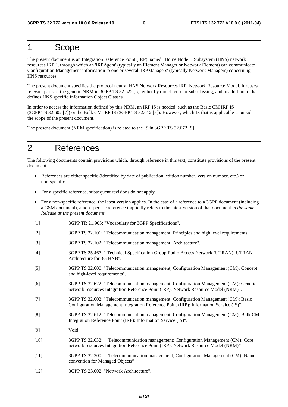# 1 Scope

The present document is an Integration Reference Point (IRP) named "Home Node B Subsystem (HNS) network resources IRP ", through which an 'IRPAgent' (typically an Element Manager or Network Element) can communicate Configuration Management information to one or several 'IRPManagers' (typically Network Managers) concerning HNS resources.

The present document specifies the protocol neutral HNS Network Resources IRP: Network Resource Model. It reuses relevant parts of the generic NRM in 3GPP TS 32.622 [6], either by direct reuse or sub-classing, and in addition to that defines HNS specific Information Object Classes.

In order to access the information defined by this NRM, an IRP IS is needed, such as the Basic CM IRP IS (3GPP TS 32.602 [7]) or the Bulk CM IRP IS (3GPP TS 32.612 [8]). However, which IS that is applicable is outside the scope of the present document.

The present document (NRM specification) is related to the IS in 3GPP TS 32.672 [9]

# 2 References

The following documents contain provisions which, through reference in this text, constitute provisions of the present document.

- References are either specific (identified by date of publication, edition number, version number, etc.) or non-specific.
- For a specific reference, subsequent revisions do not apply.
- For a non-specific reference, the latest version applies. In the case of a reference to a 3GPP document (including a GSM document), a non-specific reference implicitly refers to the latest version of that document *in the same Release as the present document*.
- [1] 3GPP TR 21.905: "Vocabulary for 3GPP Specifications".
- [2] 3GPP TS 32.101: "Telecommunication management; Principles and high level requirements".
- [3] 3GPP TS 32.102: "Telecommunication management; Architecture".
- [4] 3GPP TS 25.467: " Technical Specification Group Radio Access Network (UTRAN); UTRAN Architecture for 3G HNB".
- [5] 3GPP TS 32.600: "Telecommunication management; Configuration Management (CM); Concept and high-level requirements".
- [6] 3GPP TS 32.622: "Telecommunication management; Configuration Management (CM); Generic network resources Integration Reference Point (IRP): Network Resource Model (NRM)".
- [7] 3GPP TS 32.602: "Telecommunication management; Configuration Management (CM); Basic Configuration Management Integration Reference Point (IRP): Information Service (IS)".
- [8] 3GPP TS 32.612: "Telecommunication management; Configuration Management (CM); Bulk CM Integration Reference Point (IRP): Information Service (IS)".
- [9] Void.
- [10] 3GPP TS 32.632: "Telecommunication management; Configuration Management (CM); Core network resources Integration Reference Point (IRP): Network Resource Model (NRM)"
- [11] 3GPP TS 32.300: "Telecommunication management; Configuration Management (CM); Name convention for Managed Objects"
- [12] 3GPP TS 23.002: "Network Architecture".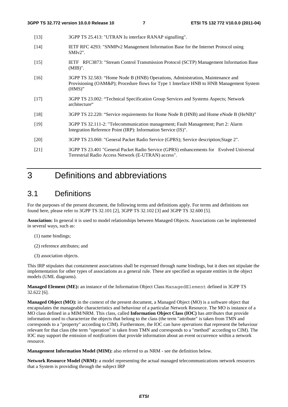| $[13]$ |  | 3GPP TS 25.413: "UTRAN Iu interface RANAP signalling". |  |  |
|--------|--|--------------------------------------------------------|--|--|
|--------|--|--------------------------------------------------------|--|--|

- [14] IETF RFC 4293: "SNMPv2 Management Information Base for the Internet Protocol using SMIv2".
- [15] IETF RFC3873: "Stream Control Transmission Protocol (SCTP) Management Information Base (MIB)".
- [16] 3GPP TS 32.583: "Home Node B (HNB) Operations, Administration, Maintenance and Provisioning (OAM&P); Procedure flows for Type 1 Interface HNB to HNB Management System (HMS)"
- [17] 3GPP TS 23.002: "Technical Specification Group Services and Systems Aspects; Network architecture"
- [18] 3GPP TS 22.220: "Service requirements for Home Node B (HNB) and Home eNode B (HeNB)"
- [19] 3GPP TS 32.111-2: "Telecommunication management; Fault Management; Part 2: Alarm Integration Reference Point (IRP): Information Service (IS)".
- [20] 3GPP TS 23.060: "General Packet Radio Service (GPRS); Service description;Stage 2".
- [21] 3GPP TS 23.401 "General Packet Radio Service (GPRS) enhancements for Evolved Universal Terrestrial Radio Access Network (E-UTRAN) access".

# 3 Definitions and abbreviations

### 3.1 Definitions

For the purposes of the present document, the following terms and definitions apply. For terms and definitions not found here, please refer to 3GPP TS 32.101 [2], 3GPP TS 32.102 [3] and 3GPP TS 32.600 [5].

**Association:** In general it is used to model relationships between Managed Objects. Associations can be implemented in several ways, such as:

- (1) name bindings;
- (2) reference attributes; and
- (3) association objects.

This IRP stipulates that containment associations shall be expressed through name bindings, but it does not stipulate the implementation for other types of associations as a general rule. These are specified as separate entities in the object models (UML diagrams).

**Managed Element (ME):** an instance of the Information Object Class ManagedElement defined in 3GPP TS 32.622 [6].

**Managed Object (MO):** in the context of the present document, a Managed Object (MO) is a software object that encapsulates the manageable characteristics and behaviour of a particular Network Resource. The MO is instance of a MO class defined in a MIM/NRM. This class, called **Information Object Class (IOC)** has *attributes* that provide information used to characterize the objects that belong to the class (the term "attribute" is taken from TMN and corresponds to a "property" according to CIM). Furthermore, the IOC can have *operations* that represent the behaviour relevant for that class (the term "operation" is taken from TMN and corresponds to a "method" according to CIM). The IOC may support the emission of *notifications* that provide information about an event occurrence within a network resource.

**Management Information Model (MIM):** also referred to as NRM - see the definition below.

**Network Resource Model (NRM):** a model representing the actual managed telecommunications network resources that a System is providing through the subject IRP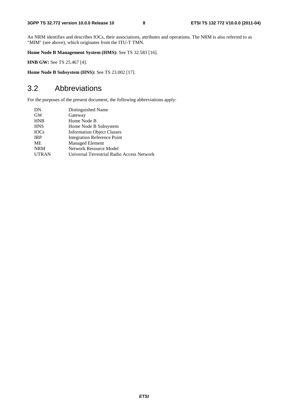An NRM identifies and describes IOCs, their associations, attributes and operations. The NRM is also referred to as "MIM" (see above), which originates from the ITU-T TMN.

**Home Node B Management System (HMS):** See TS 32.583 [16].

**HNB GW:** See TS 25.467 [4].

**Home Node B Subsystem (HNS):** See TS 23.002 [17].

# 3.2 Abbreviations

For the purposes of the present document, the following abbreviations apply:

| DN           | Distinguished Name                         |
|--------------|--------------------------------------------|
| <b>GW</b>    | Gateway                                    |
| <b>HNB</b>   | Home Node B                                |
| <b>HNS</b>   | Home Node B Subsystem                      |
| <b>IOCs</b>  | <b>Information Object Classes</b>          |
| <b>IRP</b>   | <b>Integration Reference Point</b>         |
| МE           | <b>Managed Element</b>                     |
| <b>NRM</b>   | <b>Network Resource Model</b>              |
| <b>UTRAN</b> | Universal Terrestrial Radio Access Network |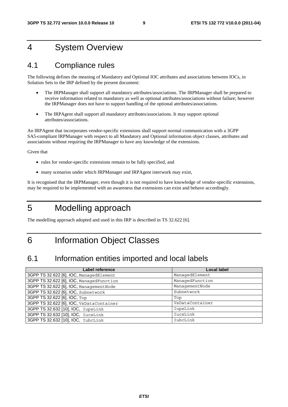# 4 System Overview

### 4.1 Compliance rules

The following defines the meaning of Mandatory and Optional IOC attributes and associations between IOCs, in Solution Sets to the IRP defined by the present document:

- The IRPManager shall support all mandatory attributes/associations. The IRPManager shall be prepared to receive information related to mandatory as well as optional attributes/associations without failure; however the IRPManager does not have to support handling of the optional attributes/associations.
- The IRPAgent shall support all mandatory attributes/associations. It may support optional attributes/associations.

An IRPAgent that incorporates vendor-specific extensions shall support normal communication with a 3GPP SA5-compliant IRPManager with respect to all Mandatory and Optional information object classes, attributes and associations without requiring the IRPManager to have any knowledge of the extensions.

Given that

- rules for vendor-specific extensions remain to be fully specified, and
- many scenarios under which IRPManager and IRPAgent interwork may exist,

It is recognised that the IRPManager, even though it is not required to have knowledge of vendor-specific extensions, may be required to be implemented with an awareness that extensions can exist and behave accordingly.

# 5 Modelling approach

The modelling approach adopted and used in this IRP is described in TS 32.622 [6].

6 Information Object Classes

# 6.1 Information entities imported and local labels

| Label reference                          | <b>Local label</b> |
|------------------------------------------|--------------------|
| 3GPP TS 32.622 [6], IOC, ManagedElement  | ManagedElement     |
| 3GPP TS 32.622 [6], IOC, ManagedFunction | ManagedFunction    |
| 3GPP TS 32.622 [6], IOC, Management Node | ManagementNode     |
| 3GPP TS 32.622 [6], IOC, Subnetwork      | Subnetwork         |
| 3GPP TS 32.622 [6], IOC, Top             | Top                |
| 3GPP TS 32.622 [6], IOC, VsDataContainer | VsDataContainer    |
| 3GPP TS 32.632 [10], IOC, IupsLink       | IupsLink           |
| 3GPP TS 32.632 [10], IOC, IucsLink       | IucsLink           |
| 3GPP TS 32.632 [10], IOC, IubcLink       | IubcLink           |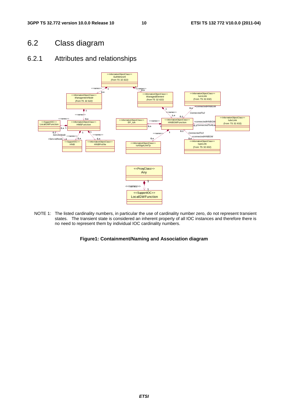# 6.2 Class diagram

### 6.2.1 Attributes and relationships



NOTE 1: The listed cardinality numbers, in particular the use of cardinality number zero, do not represent transient states. The transient state is considered an inherent property of all IOC instances and therefore there is no need to represent them by individual IOC cardinality numbers.

#### **Figure1: Containment/Naming and Association diagram**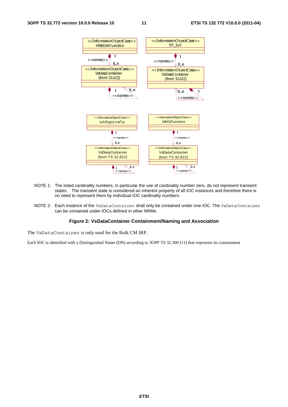

- NOTE 1: The listed cardinality numbers, in particular the use of cardinality number zero, do not represent transient states. The transient state is considered an inherent property of all IOC instances and therefore there is no need to represent them by individual IOC cardinality numbers.
- NOTE 2: Each instance of the VsDataContainer shall only be contained under one IOC. The VsDataContainer can be contained under IOCs defined in other NRMs.

#### **Figure 2: VsDataContainer Containment/Naming and Association**

The VsDataContainer is only used for the Bulk CM IRP.

Each IOC is identified with a Distinguished Name (DN) according to 3GPP TS 32.300 [11] that expresses its containment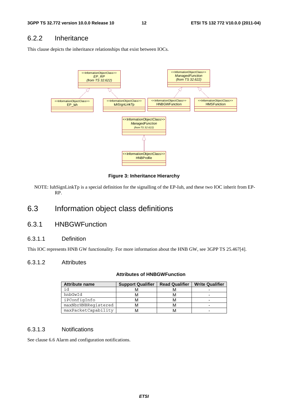### 6.2.2 Inheritance

This clause depicts the inheritance relationships that exist between IOCs.



#### **Figure 3: Inheritance Hierarchy**

NOTE: IuhSignLinkTp is a special definition for the signalling of the EP-Iuh, and these two IOC inherit from EP-RP.

### 6.3 Information object class definitions

### 6.3.1 HNBGWFunction

#### 6.3.1.1 Definition

This IOC represents HNB GW functionality. For more information about the HNB GW, see 3GPP TS 25.467[4].

#### 6.3.1.2 Attributes

#### **Attributes of HNBGWFunction**

| <b>Attribute name</b> | <b>Support Qualifier</b> | <b>Read Qualifier</b> | <b>Write Qualifier</b> |
|-----------------------|--------------------------|-----------------------|------------------------|
| id                    |                          |                       |                        |
| hnbGwId               |                          |                       |                        |
| iPConfigInfo          |                          |                       |                        |
| maxNbrHNBRegistered   |                          |                       |                        |
| maxPacketCapability   |                          |                       |                        |

#### 6.3.1.3 Notifications

See clause 6.6 Alarm and configuration notifications.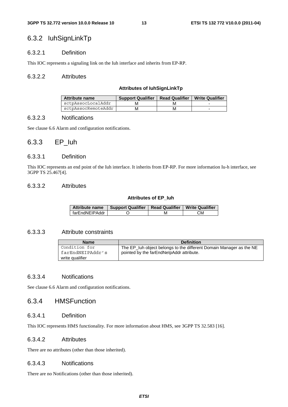### 6.3.2 IuhSignLinkTp

#### 6.3.2.1 Definition

This IOC represents a signaling link on the Iuh interface and inherits from EP-RP.

#### 6.3.2.2 Attributes

#### **Attributes of IuhSignLinkTp**

| Attribute name      | <b>Support Qualifier</b> | Read Qualifier   Write Qualifier |   |
|---------------------|--------------------------|----------------------------------|---|
| sctpAssocLocalAddr  |                          |                                  |   |
| sctpAssocRemoteAddr | м                        |                                  | - |

#### 6.3.2.3 Notifications

See clause 6.6 Alarm and configuration notifications.

### 6.3.3 EP\_Iuh

#### 6.3.3.1 Definition

This IOC represents an end point of the Iuh interface. It inherits from EP-RP. For more information Iu-h interface, see 3GPP TS 25.467[4].

#### 6.3.3.2 Attributes

#### **Attributes of EP\_Iuh**

| <b>Attribute name</b> | Support Qualifier   Read Qualifier   Write Qualifier |    |
|-----------------------|------------------------------------------------------|----|
| l farEndNEIPAddr      |                                                      | СM |

#### 6.3.3.3 Attribute constraints

| <b>Name</b>      | <b>Definition</b>                                                   |
|------------------|---------------------------------------------------------------------|
| Condition for    | The EP_luh object belongs to the different Domain Manager as the NE |
| farEndNEIPAddr's | pointed by the farEndNelpAddr attribute.                            |
| write qualifier  |                                                                     |

#### 6.3.3.4 Notifications

See clause 6.6 Alarm and configuration notifications.

#### 6.3.4 HMSFunction

#### 6.3.4.1 Definition

This IOC represents HMS functionality. For more information about HMS, see 3GPP TS 32.583 [16].

#### 6.3.4.2 Attributes

There are no attributes (other than those inherited).

#### 6.3.4.3 Notifications

There are no Notifications (other than those inherited).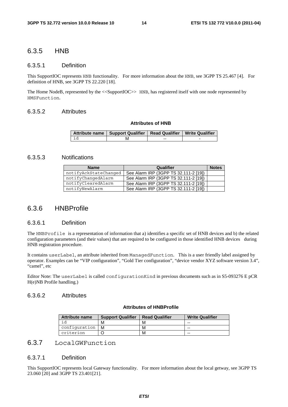### 6.3.5 HNB

#### 6.3.5.1 Definition

This SupportIOC represents HNB functionality. For more information about the HNB, see 3GPP TS 25.467 [4]. For definition of HNB, see 3GPP TS 22.220 [18].

The Home NodeB, represented by the <<SupportIOC>> HNB, has registered itself with one node represented by HMSFunction.

#### 6.3.5.2 Attributes

#### **Attributes of HNB**

|      | Attribute name   Support Qualifier   Read Qualifier   Write Qualifier |    |   |
|------|-----------------------------------------------------------------------|----|---|
| ਾਂ ਰ | IV.                                                                   | -- | - |

#### 6.3.5.3 Notifications

| <b>Name</b>           | Qualifier                             | <b>Notes</b> |
|-----------------------|---------------------------------------|--------------|
| notifyAckStateChanged | See Alarm IRP (3GPP TS 32.111-2 [19]) |              |
| notifyChangedAlarm    | See Alarm IRP (3GPP TS 32.111-2 [19]) |              |
| notifyClearedAlarm    | See Alarm IRP (3GPP TS 32.111-2 [19]) |              |
| notifyNewAlarm        | See Alarm IRP (3GPP TS 32.111-2 [19]) |              |

#### 6.3.6 HNBProfile

#### 6.3.6.1 Definition

The HNBProfile is a representation of information that a) identifies a specific set of HNB devices and b) the related configuration parameters (and their values) that are required to be configured in those identified HNB devices during HNB registration procedure.

It contains userLabel, an attribute inherited from ManagedFunction. This is a user friendly label assigned by operator. Examples can be "VIP configuration", "Gold Tier configuration", "device vendor XYZ software version 3.4", "camel", etc

Editor Note: The userLabel is called configurationKind in previous documents such as in S5-093276 E pCR H(e)NB Profile handling.)

#### 6.3.6.2 Attributes

#### **Attributes of HNBProfile**

| <b>Attribute name</b> | <b>Support Qualifier</b> | <b>Read Qualifier</b> | <b>Write Qualifier</b> |  |
|-----------------------|--------------------------|-----------------------|------------------------|--|
|                       | M                        | M                     | --                     |  |
| confiquration         | м                        | M                     | --                     |  |
| criterion             |                          | м                     | --                     |  |

### 6.3.7 LocalGWFunction

#### 6.3.7.1 Definition

This SupportIOC represents local Gateway functionality. For more information about the local getway, see 3GPP TS 23.060 [20] and 3GPP TS 23.401[21].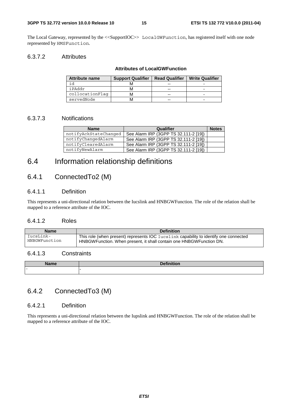The Local Gateway, represented by the <<SupportIOC>> LocalGWFunction, has registered itself with one node represented by HMSFunction.

#### 6.3.7.2 Attributes

#### **Attributes of LocalGWFunction**

| <b>Attribute name</b> | <b>Support Qualifier</b> | <b>Read Qualifier</b> | <b>Write Qualifier</b> |  |  |
|-----------------------|--------------------------|-----------------------|------------------------|--|--|
| i d                   |                          | --                    |                        |  |  |
| iPAddr                |                          | --                    |                        |  |  |
| collocationFlag       |                          | --                    |                        |  |  |
| servedNode            |                          | --                    |                        |  |  |

#### 6.3.7.3 Notifications

| <b>Name</b>           | Qualifier                             | <b>Notes</b> |
|-----------------------|---------------------------------------|--------------|
| notifyAckStateChanged | See Alarm IRP (3GPP TS 32.111-2 [19]) |              |
| notifyChangedAlarm    | See Alarm IRP (3GPP TS 32.111-2 [19]) |              |
| notifyClearedAlarm    | See Alarm IRP (3GPP TS 32.111-2 [19]) |              |
| notifyNewAlarm        | See Alarm IRP (3GPP TS 32.111-2 [19]) |              |

### 6.4 Information relationship definitions

### 6.4.1 ConnectedTo2 (M)

#### 6.4.1.1 Definition

This represents a uni-directional relation between the Iucslink and HNBGWFunction. The role of the relation shall be mapped to a reference attribute of the IOC.

#### 6.4.1.2 Roles

| <b>Name</b>   | <b>Definition</b>                                                                     |
|---------------|---------------------------------------------------------------------------------------|
| IucsLink-     | This role (when present) represents IOC Iucslink capability to identify one connected |
| HNBGWFunction | HNBGWFunction. When present, it shall contain one HNBGWFunction DN.                   |

#### 6.4.1.3 Constraints

| <b>Name</b><br>me | $D = 0.11112$<br>--- |
|-------------------|----------------------|
| $\sim$            |                      |

### 6.4.2 ConnectedTo3 (M)

#### 6.4.2.1 Definition

This represents a uni-directional relation between the Iupslink and HNBGWFunction. The role of the relation shall be mapped to a reference attribute of the IOC.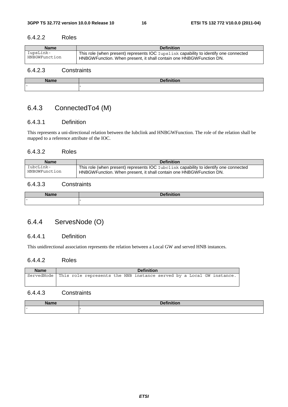#### 6.4.2.2 Roles

| <b>Name</b>   | <b>Definition</b>                                                                     |
|---------------|---------------------------------------------------------------------------------------|
| IupsLink-     | This role (when present) represents IOC Iupslink capability to identify one connected |
| HNBGWFunction | HNBGWFunction. When present, it shall contain one HNBGWFunction DN.                   |

### 6.4.2.3 Constraints

| <b>Name</b> | <b>Definition</b><br>--- |
|-------------|--------------------------|
| $\sim$      | . .                      |

### 6.4.3 ConnectedTo4 (M)

#### 6.4.3.1 Definition

This represents a uni-directional relation between the Iubclink and HNBGWFunction. The role of the relation shall be mapped to a reference attribute of the IOC.

#### 6.4.3.2 Roles

| <b>Name</b>   | <b>Definition</b>                                                                     |
|---------------|---------------------------------------------------------------------------------------|
| IubcLink-     | This role (when present) represents IOC Iubclink capability to identify one connected |
| HNBGWFunction | HNBGWFunction. When present, it shall contain one HNBGWFunction DN.                   |

#### 6.4.3.3 Constraints

| <b>N</b> I – – – – | $R_{\alpha}$ finiti. |
|--------------------|----------------------|
| ше                 | --                   |
| $\sim$             |                      |

### 6.4.4 ServesNode (O)

#### 6.4.4.1 Definition

This unidirectional association represents the relation between a Local GW and served HNB instances.

#### 6.4.4.2 Roles

| <b>Name</b>                                                                     | <b>Definition</b> |  |  |  |  |  |  |  |  |  |
|---------------------------------------------------------------------------------|-------------------|--|--|--|--|--|--|--|--|--|
| ServedNode This role represents the HNB instance served by a Local GW instance. |                   |  |  |  |  |  |  |  |  |  |
|                                                                                 |                   |  |  |  |  |  |  |  |  |  |

#### 6.4.4.3 Constraints

| $\sim$ |  |  |  |  |  |  |
|--------|--|--|--|--|--|--|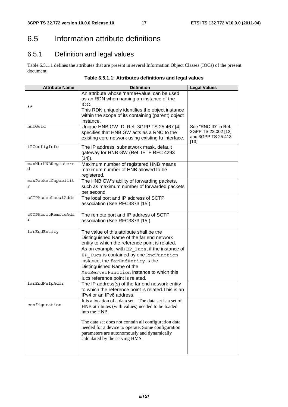# 6.5 Information attribute definitions

# 6.5.1 Definition and legal values

Table 6.5.1.1 defines the attributes that are present in several Information Object Classes (IOCs) of the present document.

| Table 6.5.1.1: Attributes definitions and legal values |  |  |  |  |  |
|--------------------------------------------------------|--|--|--|--|--|
|--------------------------------------------------------|--|--|--|--|--|

| <b>Attribute Name</b>   | <b>Definition</b>                                                                                                                                                                                                                                                                                                                                                                        | <b>Legal Values</b>                                                       |
|-------------------------|------------------------------------------------------------------------------------------------------------------------------------------------------------------------------------------------------------------------------------------------------------------------------------------------------------------------------------------------------------------------------------------|---------------------------------------------------------------------------|
| id                      | An attribute whose 'name+value' can be used<br>as an RDN when naming an instance of the<br>IOC.<br>This RDN uniquely identifies the object instance<br>within the scope of its containing (parent) object<br>instance.                                                                                                                                                                   |                                                                           |
| hnbGwId                 | Unique HNB GW ID. Ref. 3GPP TS 25.467 [4]<br>specifies that HNB GW acts as a RNC to the<br>existing core network using existing lu interface.                                                                                                                                                                                                                                            | See "RNC-ID" in Ref.<br>3GPP TS 23.002 [12]<br>and 3GPP TS 25.413<br>[13] |
| iPConfigInfo            | The IP address, subnetwork mask, default<br>gateway for HNB GW (Ref. IETF RFC 4293<br>$[14]$ .                                                                                                                                                                                                                                                                                           |                                                                           |
| maxNbrHNBRegistere<br>d | Maximum number of registered HNB means<br>maximum number of HNB allowed to be<br>registered.                                                                                                                                                                                                                                                                                             |                                                                           |
| maxPacketCapabilit<br>У | The HNB GW's ability of forwarding packets,<br>such as maximum number of forwarded packets<br>per second.                                                                                                                                                                                                                                                                                |                                                                           |
| sCTPAssocLocalAddr      | The local port and IP address of SCTP<br>association (See RFC3873 [15]).                                                                                                                                                                                                                                                                                                                 |                                                                           |
| sCTPAssocRemoteAdd<br>r | The remote port and IP address of SCTP<br>association (See RFC3873 [15]).                                                                                                                                                                                                                                                                                                                |                                                                           |
| farEndEntity            | The value of this attribute shall be the<br>Distinguished Name of the far end network<br>entity to which the reference point is related.<br>As an example, with EP Iucs, if the instance of<br>EP Iucs is contained by one RncFunction<br>instance, the farEndEntity is the<br>Distinguished Name of the<br>MscServerFunction instance to which this<br>lucs reference point is related. |                                                                           |
| farEndNeIpAddr          | The IP address(s) of the far end network entity<br>to which the reference point is related. This is an<br>IPv4 or an IPv6 address.                                                                                                                                                                                                                                                       |                                                                           |
| configuration           | It is a location of a data set. The data set is a set of<br>HNB attributes (with values) needed to be loaded<br>into the HNB.<br>The data set does not contain all configuration data<br>needed for a device to operate. Some configuration<br>parameters are autonomously and dynamically<br>calculated by the serving HMS.                                                             |                                                                           |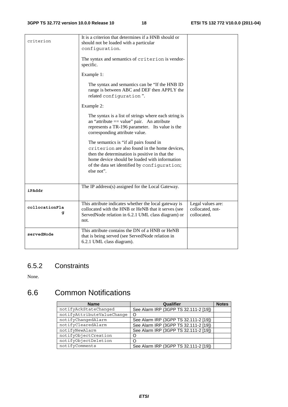| criterion           | It is a criterion that determines if a HNB should or<br>should not be loaded with a particular<br>configuration.<br>The syntax and semantics of criterion is vendor-<br>specific.<br>Example 1:<br>The syntax and semantics can be "If the HNB ID"<br>range is between ABC and DEF then APPLY the<br>related configuration".<br>Example 2:<br>The syntax is a list of strings where each string is<br>an "attribute $==$ value" pair. An attribute<br>represents a TR-196 parameter. Its value is the<br>corresponding attribute value.<br>The semantics is "if all pairs found in<br>criterion are also found in the home devices,<br>then the determination is positive in that the<br>home device should be loaded with information<br>of the data set identified by configuration;<br>else not". |                                                      |
|---------------------|------------------------------------------------------------------------------------------------------------------------------------------------------------------------------------------------------------------------------------------------------------------------------------------------------------------------------------------------------------------------------------------------------------------------------------------------------------------------------------------------------------------------------------------------------------------------------------------------------------------------------------------------------------------------------------------------------------------------------------------------------------------------------------------------------|------------------------------------------------------|
| iPAddr              | The IP address(s) assigned for the Local Gateway.                                                                                                                                                                                                                                                                                                                                                                                                                                                                                                                                                                                                                                                                                                                                                    |                                                      |
| collocationFla<br>g | This attribute indicates whether the local gateway is<br>collocated with the HNB or HeNB that it serves (see<br>ServedNode relation in 6.2.1 UML class diagram) or<br>not.                                                                                                                                                                                                                                                                                                                                                                                                                                                                                                                                                                                                                           | Legal values are:<br>collocated, not-<br>collocated. |
| servedNode          | This attribute contains the DN of a HNB or HeNB<br>that is being served (see ServedNode relation in<br>6.2.1 UML class diagram).                                                                                                                                                                                                                                                                                                                                                                                                                                                                                                                                                                                                                                                                     |                                                      |

### 6.5.2 Constraints

None.

# 6.6 Common Notifications

| <b>Name</b>                | Qualifier                             | <b>Notes</b> |
|----------------------------|---------------------------------------|--------------|
| notifyAckStateChanged      | See Alarm IRP (3GPP TS 32.111-2 [19]) |              |
| notifyAttributeValueChange |                                       |              |
| notifyChangedAlarm         | See Alarm IRP (3GPP TS 32.111-2 [19]) |              |
| notifyClearedAlarm         | See Alarm IRP (3GPP TS 32.111-2 [19]) |              |
| notifyNewAlarm             | See Alarm IRP (3GPP TS 32.111-2 [19]) |              |
| notifyObjectCreation       |                                       |              |
| notifyObjectDeletion       |                                       |              |
| notifyComments             | See Alarm IRP (3GPP TS 32.111-2 [19]) |              |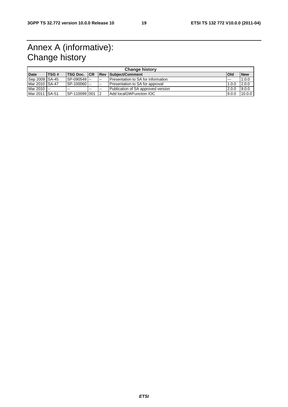# Annex A (informative): Change history

| <b>Change history</b> |      |                      |   |               |                                      |         |            |
|-----------------------|------|----------------------|---|---------------|--------------------------------------|---------|------------|
| <b>Date</b>           | TSG# | <b>ITSG Doc. ICR</b> |   |               | <b>Rev Subject/Comment</b>           | lOld    | <b>New</b> |
| Sep 2009 SA-45        |      | $SP-090549$ $-$      |   | $\sim$ $\sim$ | l Presentation to SA for information | $- - -$ | 1.0.0      |
| Mar 2010 SA-47        |      | SP-100060            |   | $\sim$        | Presentation to SA for approval      | 1.0.0   | 2.0.0      |
| Mar 2010 --           |      | $- -$                | . | $\sim$ $\sim$ | Publication of SA approved version   | 2.0.0   | 9.0.0      |
| Mar 2011 SA-51        |      | SP-110099 001        |   | 12            | Add localGWFunction IOC              | 9.0.0   | 10.0.0     |